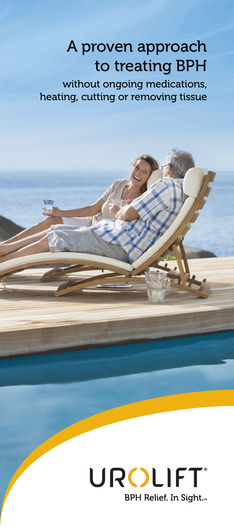## A proven approach to treating BPH

without ongoing medications, heating, cutting or removing tissue

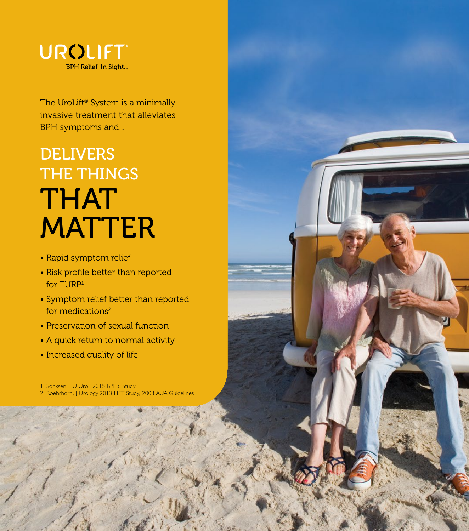

The UroLift<sup>®</sup> System is a minimally invasive treatment that alleviates BPH symptoms and...

# **DELIVERS** THE THINGS THAT **MATTER**

- Rapid symptom relief
- Risk profile better than reported for TURP1
- Symptom relief better than reported for medications<sup>2</sup>
- Preservation of sexual function
- A quick return to normal activity
- Increased quality of life

1. Sonksen, EU Urol, 2015 BPH6 Study 2. Roehrborn, J Urology 2013 LIFT Study, 2003 AUA Guidelines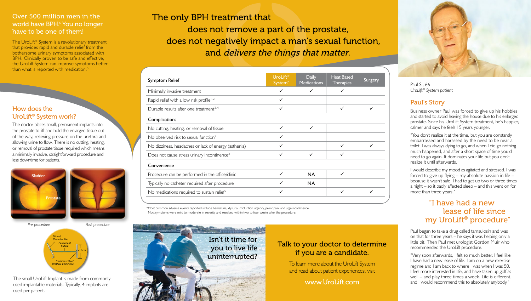### Over 500 million men in the world have BPH.<sup>6</sup> You no longer have to be one of them!

The UroLift<sup>®</sup> System is a revolutionary treatment that provides rapid and durable relief from the bothersome urinary symptoms associated with BPH. Clinically proven to be safe and effective, the UroLift System can improve symptoms better than what is reported with medication.<sup>5</sup>

### How does the UroLift® System work?

The doctor places small, permanent implants into the prostate to lift and hold the enlarged tissue out of the way, relieving pressure on the urethra and allowing urine to flow. There is no cutting, heating, or removal of prostate tissue required which means a minimally invasive, straightforward procedure and less downtime for patients.



*Pre-procedure Post-procedure*



The small UroLift Implant is made from commonly used implantable materials. Typically, 4 implants are used per patient.

The only BPH treatment that does not remove a part of the prostate, does not negatively impact a man's sexual function, and delivers the things that matter.

| Symptom Relief                                          | UroLift®<br>System <sup>*</sup> | <b>Daily</b><br><b>Medications</b> | <b>Heat Based</b><br><b>Therapies</b> | Surgery |
|---------------------------------------------------------|---------------------------------|------------------------------------|---------------------------------------|---------|
| Minimally invasive treatment                            | ✓                               | $\checkmark$                       | ✓                                     |         |
| Rapid relief with a low risk profile <sup>1,2</sup>     |                                 |                                    |                                       |         |
| Durable results after one treatment <sup>2, 4</sup>     | ✓                               |                                    | ✓                                     |         |
| Complications                                           |                                 |                                    |                                       |         |
| No cutting, heating, or removal of tissue               |                                 | $\checkmark$                       |                                       |         |
| No observed risk to sexual function <sup>2</sup>        | ✓                               |                                    |                                       |         |
| No dizziness, headaches or lack of energy (asthenia)    |                                 |                                    |                                       |         |
| Does not cause stress urinary incontinence <sup>2</sup> | ✓                               | ✓                                  |                                       |         |
| Convenience                                             |                                 |                                    |                                       |         |
| Procedure can be performed in the office/clinic         | ✓                               | <b>NA</b>                          | ✓                                     |         |
| Typically no catheter required after procedure          |                                 | <b>NA</b>                          |                                       |         |
| No medications required to sustain relief <sup>2</sup>  |                                 |                                    |                                       |         |

\*Most common adverse events reported include hematuria, dysuria, micturition urgency, pelvic pain, and urge incontinence. Most symptoms were mild to moderate in severity and resolved within two to four weeks after the procedure.



### Talk to your doctor to determine if you are a candidate.

To learn more about the UroLift System and read about patient experiences, visit

www.UroLift.com



Paul S., 66 *UroLift® System patient*

### Paul's Story

Business owner Paul was forced to give up his hobbies and started to avoid leaving the house due to his enlarged prostate. Since his UroLift System treatment, he's happier, calmer and says he feels 15 years younger.

"You don't realize it at the time, but you are constantly embarrassed and harassed by the need to be near a toilet. I was always dying to go, and when I did go nothing much happened, and after a short space of time you'd need to go again. It dominates your life but you don't realize it until afterwards.

I would describe my mood as agitated and stressed. I was forced to give up flying – my absolute passion in life – because it wasn't safe. I had to get up two or three times a night – so it badly affected sleep – and this went on for more than three years."

### "I have had a new lease of life since my UroLift® procedure"

Paul began to take a drug called tamsulosin and was on that for three years – he says it was helping only a little bit. Then Paul met urologist Gordon Muir who recommended the UroLift procedure.

"Very soon afterwards, I felt so much better. I feel like I have had a new lease of life. I am on a new exercise regime and I am back to where I was when I was 50. I feel more interested in life, and have taken up golf as well – and play three times a week. Life is different, and I would recommend this to absolutely anybody."